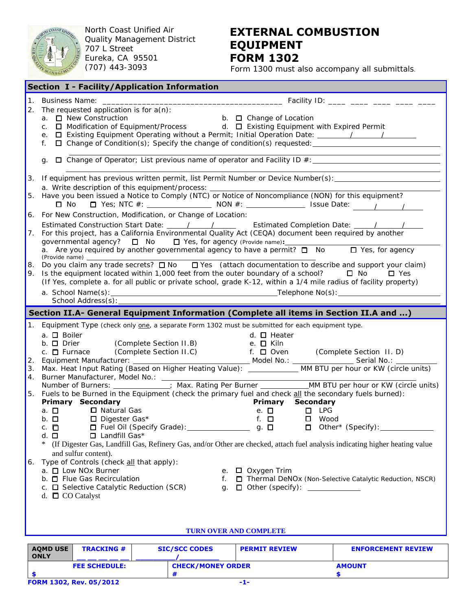

North Coast Unified Air Quality Management District 707 L Street Eureka, CA 95501 (707) 443-3093

## **EXTERNAL COMBUSTION EQUIPMENT FORM 1302**

Form 1300 must also accompany all submittals.

| <b>Section I - Facility/Application Information</b>                                   |                                                                                                                                                                                                                      |  |  |  |  |  |  |
|---------------------------------------------------------------------------------------|----------------------------------------------------------------------------------------------------------------------------------------------------------------------------------------------------------------------|--|--|--|--|--|--|
| 1.                                                                                    | Business Name: ______                                                                                                                                                                                                |  |  |  |  |  |  |
| 2.                                                                                    | The requested application is for $a(n)$ :                                                                                                                                                                            |  |  |  |  |  |  |
|                                                                                       | a. □ New Construction<br>b. $\Box$ Change of Location                                                                                                                                                                |  |  |  |  |  |  |
|                                                                                       | c. □ Modification of Equipment/Process d. □ Existing Equipment with Expired Permit                                                                                                                                   |  |  |  |  |  |  |
|                                                                                       | e. □ Existing Equipment Operating without a Permit; Initial Operation Date: ___________________________________                                                                                                      |  |  |  |  |  |  |
|                                                                                       | f.                                                                                                                                                                                                                   |  |  |  |  |  |  |
|                                                                                       |                                                                                                                                                                                                                      |  |  |  |  |  |  |
|                                                                                       | q.                                                                                                                                                                                                                   |  |  |  |  |  |  |
|                                                                                       | 3. If equipment has previous written permit, list Permit Number or Device Number(s): _____________________                                                                                                           |  |  |  |  |  |  |
|                                                                                       |                                                                                                                                                                                                                      |  |  |  |  |  |  |
|                                                                                       |                                                                                                                                                                                                                      |  |  |  |  |  |  |
|                                                                                       | $\square$ No                                                                                                                                                                                                         |  |  |  |  |  |  |
|                                                                                       | 6. For New Construction, Modification, or Change of Location:                                                                                                                                                        |  |  |  |  |  |  |
|                                                                                       | Estimated Construction Start Date: 1 1 1 _ Estimated Completion Date: _ 1 1                                                                                                                                          |  |  |  |  |  |  |
| 7.                                                                                    | For this project, has a California Environmental Quality Act (CEQA) document been required by another                                                                                                                |  |  |  |  |  |  |
|                                                                                       | governmental agency? $\Box$ No $\Box$ Yes, for agency (Provide name):<br>a. Are you required by another governmental agency to have a permit? $\Box$ No $\Box$ Yes, for agency                                       |  |  |  |  |  |  |
|                                                                                       |                                                                                                                                                                                                                      |  |  |  |  |  |  |
|                                                                                       | 8. Do you claim any trade secrets? □ No □ Yes (attach documentation to describe and support your claim)                                                                                                              |  |  |  |  |  |  |
| 9.                                                                                    | Is the equipment located within 1,000 feet from the outer boundary of a school? $\Box$ No $\Box$ Yes                                                                                                                 |  |  |  |  |  |  |
|                                                                                       | (If Yes, complete a. for all public or private school, grade K-12, within a 1/4 mile radius of facility property)                                                                                                    |  |  |  |  |  |  |
|                                                                                       | a. School Name(s):                                                                                                                                                                                                   |  |  |  |  |  |  |
|                                                                                       |                                                                                                                                                                                                                      |  |  |  |  |  |  |
| Section II.A- General Equipment Information (Complete all items in Section II.A and ) |                                                                                                                                                                                                                      |  |  |  |  |  |  |
|                                                                                       |                                                                                                                                                                                                                      |  |  |  |  |  |  |
| 1.                                                                                    | Equipment Type (check only one, a separate Form 1302 must be submitted for each equipment type.                                                                                                                      |  |  |  |  |  |  |
|                                                                                       | a. $\square$ Boiler<br>d. $\Box$ Heater                                                                                                                                                                              |  |  |  |  |  |  |
|                                                                                       | b. □ Drier (Complete Section II.B)<br>e. □ Kiln                                                                                                                                                                      |  |  |  |  |  |  |
|                                                                                       | f. D Oven (Complete Section II. D)<br>c. □ Furnace (Complete Section II.C)                                                                                                                                           |  |  |  |  |  |  |
|                                                                                       |                                                                                                                                                                                                                      |  |  |  |  |  |  |
|                                                                                       |                                                                                                                                                                                                                      |  |  |  |  |  |  |
| 4.                                                                                    | Burner Manufacturer, Model No.: \[\stangeline{\]]                                                                                                                                                                    |  |  |  |  |  |  |
|                                                                                       | Number of Burners: ____________; Max. Rating Per Burner ___________MM BTU per hour or KW (circle units)<br>5. Fuels to be Burned in the Equipment (check the primary fuel and check all the secondary fuels burned): |  |  |  |  |  |  |
|                                                                                       | <b>Primary Secondary</b><br><b>Primary Secondary</b>                                                                                                                                                                 |  |  |  |  |  |  |
|                                                                                       | e. $\square$ $\square$ LPG                                                                                                                                                                                           |  |  |  |  |  |  |
|                                                                                       | a. □ □ Natural Gas<br>b. □ □ Digester Gas*<br>$\square$ Wood<br>f. $\Box$                                                                                                                                            |  |  |  |  |  |  |
|                                                                                       | c. □ □ Fuel Oil (Specify Grade):<br>$g.$ $\square$ $\square$ Other* (Specify):                                                                                                                                       |  |  |  |  |  |  |
|                                                                                       | $\Box$ Landfill Gas*<br>d. □<br>$\ast$                                                                                                                                                                               |  |  |  |  |  |  |
|                                                                                       | (If Digester Gas, Landfill Gas, Refinery Gas, and/or Other are checked, attach fuel analysis indicating higher heating value                                                                                         |  |  |  |  |  |  |
| 6.                                                                                    | and sulfur content).                                                                                                                                                                                                 |  |  |  |  |  |  |
|                                                                                       | Type of Controls (check all that apply):<br>a. □ Low NOx Burner<br>e. □ Oxygen Trim                                                                                                                                  |  |  |  |  |  |  |
|                                                                                       | b. $\Box$ Flue Gas Recirculation<br>f. <b><math>\Box</math></b> Thermal DeNOx (Non-Selective Catalytic Reduction, NSCR)                                                                                              |  |  |  |  |  |  |
|                                                                                       | c. □ Selective Catalytic Reduction (SCR)<br>$g.$ $\Box$ Other (specify): $\_\_\_\_\_\_\_\_\_\_\_\_\_\_\_\_\_\_\_\_\_\_$                                                                                              |  |  |  |  |  |  |
|                                                                                       | d. $\Box$ CO Catalyst                                                                                                                                                                                                |  |  |  |  |  |  |
|                                                                                       |                                                                                                                                                                                                                      |  |  |  |  |  |  |

## **TURN OVER AND COMPLETE**

| <b>AOMD USE</b><br><b>ONLY</b> | <b>TRACKING #</b>       | <b>SIC/SCC CODES</b>     | <b>PERMIT REVIEW</b> | <b>ENFORCEMENT REVIEW</b> |
|--------------------------------|-------------------------|--------------------------|----------------------|---------------------------|
|                                | <b>FEE SCHEDULE:</b>    | <b>CHECK/MONEY ORDER</b> |                      | <b>AMOUNT</b>             |
|                                |                         |                          |                      |                           |
|                                | FORM 1302, Rev. 05/2012 |                          | -1-                  |                           |